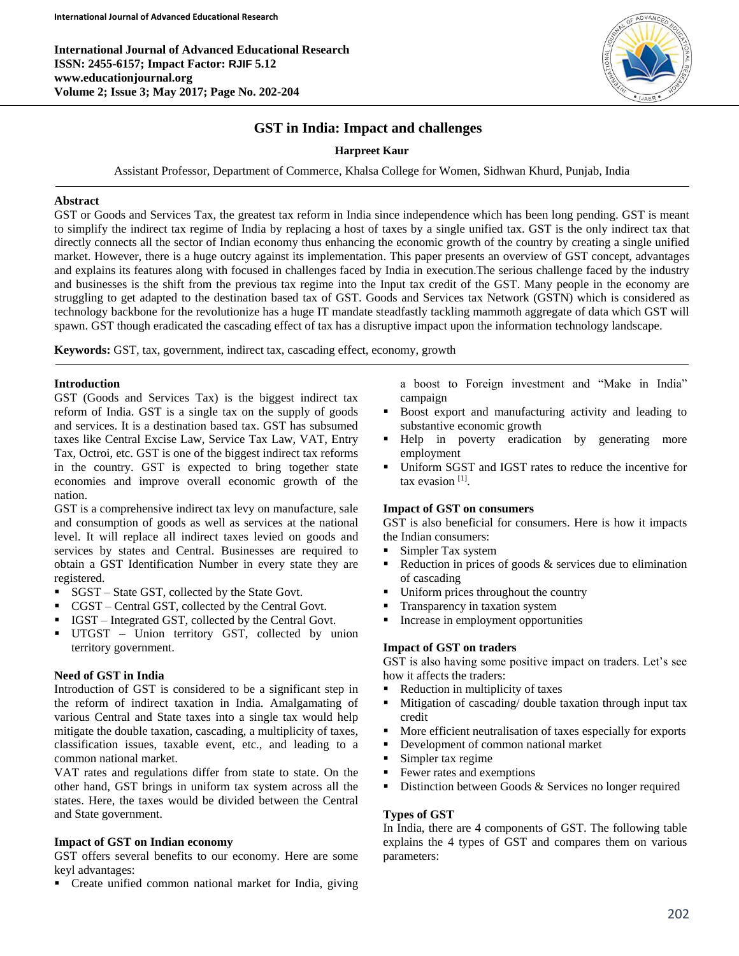**International Journal of Advanced Educational Research ISSN: 2455-6157; Impact Factor: RJIF 5.12 www.educationjournal.org Volume 2; Issue 3; May 2017; Page No. 202-204**



# **GST in India: Impact and challenges**

# **Harpreet Kaur**

Assistant Professor, Department of Commerce, Khalsa College for Women, Sidhwan Khurd, Punjab, India

### **Abstract**

GST or Goods and Services Tax, the greatest tax reform in India since independence which has been long pending. GST is meant to simplify the indirect tax regime of India by replacing a host of taxes by a single unified tax. GST is the only indirect tax that directly connects all the sector of Indian economy thus enhancing the economic growth of the country by creating a single unified market. However, there is a huge outcry against its implementation. This paper presents an overview of GST concept, advantages and explains its features along with focused in challenges faced by India in execution.The serious challenge faced by the industry and businesses is the shift from the previous tax regime into the Input tax credit of the GST. Many people in the economy are struggling to get adapted to the destination based tax of GST. Goods and Services tax Network (GSTN) which is considered as technology backbone for the revolutionize has a huge IT mandate steadfastly tackling mammoth aggregate of data which GST will spawn. GST though eradicated the cascading effect of tax has a disruptive impact upon the information technology landscape.

**Keywords:** GST, tax, government, indirect tax, cascading effect, economy, growth

### **Introduction**

Ī

GST (Goods and Services Tax) is the biggest indirect tax reform of India. GST is a single tax on the supply of goods and services. It is a destination based tax. GST has subsumed taxes like Central Excise Law, Service Tax Law, VAT, Entry Tax, Octroi, etc. GST is one of the biggest indirect tax reforms in the country. GST is expected to bring together state economies and improve overall economic growth of the nation.

GST is a comprehensive indirect tax levy on manufacture, sale and consumption of goods as well as services at the national level. It will replace all indirect taxes levied on goods and services by states and Central. Businesses are required to obtain a GST Identification Number in every state they are registered.

- SGST State GST, collected by the State Govt.
- CGST Central GST, collected by the Central Govt.
- IGST Integrated GST, collected by the Central Govt.
- UTGST Union territory GST, collected by union territory government.

# **Need of GST in India**

Introduction of GST is considered to be a significant step in the reform of indirect taxation in India. Amalgamating of various Central and State taxes into a single tax would help mitigate the double taxation, cascading, a multiplicity of taxes, classification issues, taxable event, etc., and leading to a common national market.

VAT rates and regulations differ from state to state. On the other hand, GST brings in uniform tax system across all the states. Here, the taxes would be divided between the Central and State government.

# **Impact of GST on Indian economy**

GST offers several benefits to our economy. Here are some keyl advantages:

• Create unified common national market for India, giving

a boost to Foreign investment and "Make in India" campaign

- Boost export and manufacturing activity and leading to substantive economic growth
- Help in poverty eradication by generating more employment
- Uniform SGST and IGST rates to reduce the incentive for tax evasion [1] .

#### **Impact of GST on consumers**

GST is also beneficial for consumers. Here is how it impacts the Indian consumers:

- Simpler Tax system
- Reduction in prices of goods & services due to elimination of cascading
- Uniform prices throughout the country
- **Transparency in taxation system**
- Increase in employment opportunities

# **Impact of GST on traders**

GST is also having some positive impact on traders. Let's see how it affects the traders:

- Reduction in multiplicity of taxes
- Mitigation of cascading/ double taxation through input tax credit
- More efficient neutralisation of taxes especially for exports
- Development of common national market
- Simpler tax regime
- Fewer rates and exemptions
- Distinction between Goods & Services no longer required

# **Types of GST**

In India, there are 4 components of GST. The following table explains the 4 types of GST and compares them on various parameters: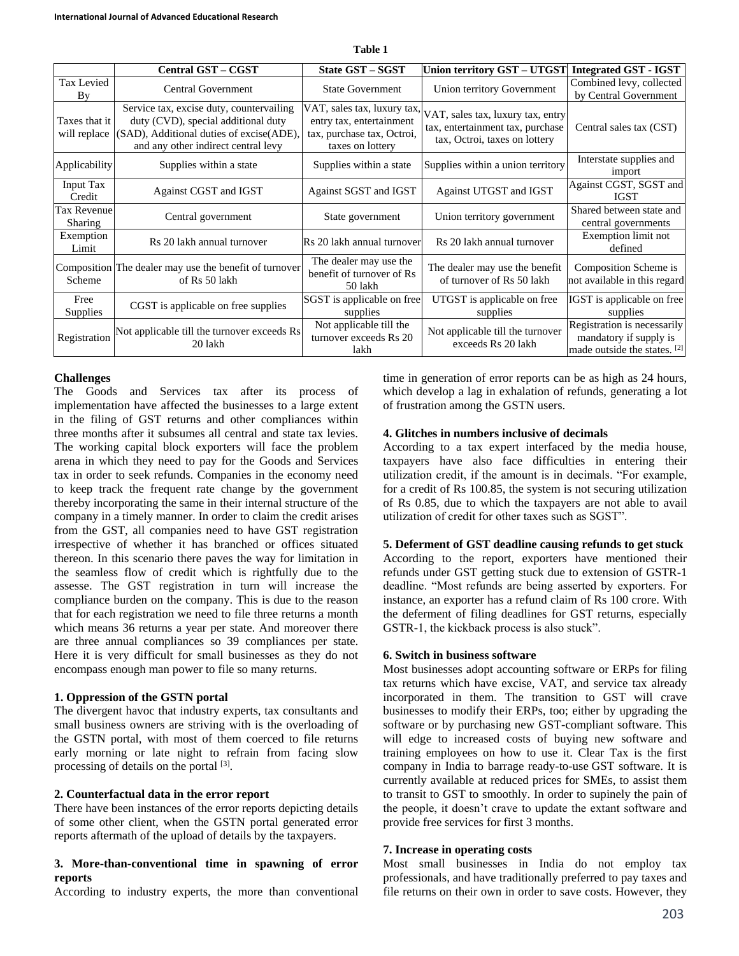|                               | Central GST - CGST                                                                                                                                                 | <b>State GST - SGST</b>                                                    | Union territory GST - UTGST                                                                                                        | Integrated GST - IGST                                                                 |
|-------------------------------|--------------------------------------------------------------------------------------------------------------------------------------------------------------------|----------------------------------------------------------------------------|------------------------------------------------------------------------------------------------------------------------------------|---------------------------------------------------------------------------------------|
| Tax Levied<br>By              | <b>Central Government</b>                                                                                                                                          | <b>State Government</b>                                                    | Union territory Government                                                                                                         | Combined levy, collected<br>by Central Government                                     |
| Taxes that it<br>will replace | Service tax, excise duty, countervailing<br>duty (CVD), special additional duty<br>(SAD), Additional duties of excise(ADE).<br>and any other indirect central levy | entry tax, entertainment<br>tax, purchase tax, Octroi,<br>taxes on lottery | VAT, sales tax, luxury tax, VAT, sales tax, luxury tax, entry<br>tax, entertainment tax, purchase<br>tax, Octroi, taxes on lottery | Central sales tax (CST)                                                               |
| Applicability                 | Supplies within a state                                                                                                                                            | Supplies within a state                                                    | Supplies within a union territory                                                                                                  | Interstate supplies and<br>import                                                     |
| Input Tax<br>Credit           | Against CGST and IGST                                                                                                                                              | Against SGST and IGST                                                      | Against UTGST and IGST                                                                                                             | Against CGST, SGST and<br>IGST                                                        |
| <b>Tax Revenue</b><br>Sharing | Central government                                                                                                                                                 | State government                                                           | Union territory government                                                                                                         | Shared between state and<br>central governments                                       |
| Exemption<br>Limit            | Rs 20 lakh annual turnover                                                                                                                                         | Rs 20 lakh annual turnover                                                 | Rs 20 lakh annual turnover                                                                                                         | Exemption limit not<br>defined                                                        |
| Scheme                        | Composition The dealer may use the benefit of turnover<br>of Rs 50 lakh                                                                                            | The dealer may use the<br>benefit of turnover of Rs<br>50 lakh             | The dealer may use the benefit<br>of turnover of Rs 50 lakh                                                                        | Composition Scheme is<br>not available in this regard                                 |
| Free<br><b>Supplies</b>       | CGST is applicable on free supplies                                                                                                                                | SGST is applicable on free<br>supplies                                     | UTGST is applicable on free<br>supplies                                                                                            | IGST is applicable on free<br>supplies                                                |
| Registration                  | Not applicable till the turnover exceeds Rs<br>20 lakh                                                                                                             | Not applicable till the<br>turnover exceeds Rs 20<br>lakh                  | Not applicable till the turnover<br>exceeds Rs 20 lakh                                                                             | Registration is necessarily<br>mandatory if supply is<br>made outside the states. [2] |

**Table 1**

### **Challenges**

The Goods and Services tax after its process of implementation have affected the businesses to a large extent in the filing of GST returns and other compliances within three months after it subsumes all central and state tax levies. The working capital block exporters will face the problem arena in which they need to pay for the Goods and Services tax in order to seek refunds. Companies in the economy need to keep track the frequent rate change by the government thereby incorporating the same in their internal structure of the company in a timely manner. In order to claim the credit arises from the GST, all companies need to have GST registration irrespective of whether it has branched or offices situated thereon. In this scenario there paves the way for limitation in the seamless flow of credit which is rightfully due to the assesse. The GST registration in turn will increase the compliance burden on the company. This is due to the reason that for each registration we need to file three returns a month which means 36 returns a year per state. And moreover there are three annual compliances so 39 compliances per state. Here it is very difficult for small businesses as they do not encompass enough man power to file so many returns.

#### **1. Oppression of the GSTN portal**

The divergent havoc that industry experts, tax consultants and small business owners are striving with is the overloading of the GSTN portal, with most of them coerced to file returns early morning or late night to refrain from facing slow processing of details on the portal [3].

### **2. Counterfactual data in the error report**

There have been instances of the error reports depicting details of some other client, when the GSTN portal generated error reports aftermath of the upload of details by the taxpayers.

# **3. More-than-conventional time in spawning of error reports**

According to industry experts, the more than conventional

time in generation of error reports can be as high as 24 hours, which develop a lag in exhalation of refunds, generating a lot of frustration among the GSTN users.

#### **4. Glitches in numbers inclusive of decimals**

According to a tax expert interfaced by the media house, taxpayers have also face difficulties in entering their utilization credit, if the amount is in decimals. "For example, for a credit of Rs 100.85, the system is not securing utilization of Rs 0.85, due to which the taxpayers are not able to avail utilization of credit for other taxes such as SGST".

# **5. Deferment of GST deadline causing refunds to get stuck**

According to the report, exporters have mentioned their refunds under GST getting stuck due to extension of GSTR-1 deadline. "Most refunds are being asserted by exporters. For instance, an exporter has a refund claim of Rs 100 crore. With the deferment of filing deadlines for GST returns, especially GSTR-1, the kickback process is also stuck".

#### **6. Switch in business software**

Most businesses adopt accounting software or ERPs for filing tax returns which have excise, VAT, and service tax already incorporated in them. The transition to GST will crave businesses to modify their ERPs, too; either by upgrading the software or by purchasing new GST-compliant software. This will edge to increased costs of buying new software and training employees on how to use it. Clear Tax is the first company in India to barrage ready-to-use GST software. It is currently available at reduced prices for SMEs, to assist them to transit to GST to smoothly. In order to supinely the pain of the people, it doesn't crave to update the extant software and provide free services for first 3 months.

# **7. Increase in operating costs**

Most small businesses in India do not employ tax professionals, and have traditionally preferred to pay taxes and file returns on their own in order to save costs. However, they